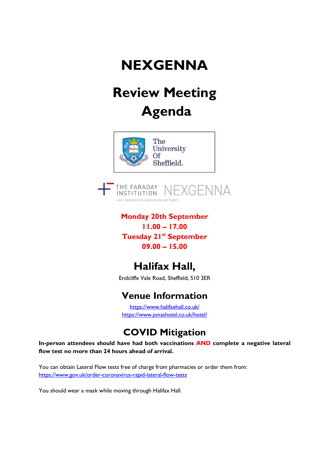# **NEXGENNA**

# Review Meeting Agenda





Monday 20th September 11.00 – 17.00 Tuesday 21<sup>st</sup> September 09.00 – 15.00

### Halifax Hall,

Endcliffe Vale Road, Sheffield, S10 3ER

#### Venue Information

https://www.halifaxhall.co.uk/ https://www.jonashotel.co.uk/hotel/

#### COVID Mitigation

In-person attendees should have had both vaccinations AND complete a negative lateral flow test no more than 24 hours ahead of arrival.

You can obtain Lateral Flow tests free of charge from pharmacies or order them from: https://www.gov.uk/order-coronavirus-rapid-lateral-flow-tests

You should wear a mask while moving through Halifax Hall.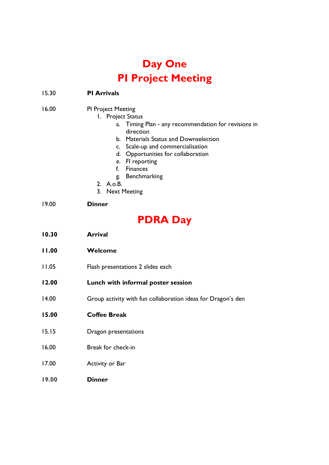### Day One PI Project Meeting

| 15.30 | <b>PI Arrivals</b>                                                                                                                                                                                                                                                                                                                        |
|-------|-------------------------------------------------------------------------------------------------------------------------------------------------------------------------------------------------------------------------------------------------------------------------------------------------------------------------------------------|
| 16.00 | <b>PI Project Meeting</b><br>1. Project Status<br>a. Timing Plan - any recommendation for revisions in<br>direction<br>b. Materials Status and Downselection<br>c. Scale-up and commercialisation<br>d. Opportunities for collaboration<br>e. Fl reporting<br>f.<br><b>Finances</b><br>Benchmarking<br>g.<br>2. A.o.B.<br>3. Next Meeting |
| 19.00 | <b>Dinner</b>                                                                                                                                                                                                                                                                                                                             |
|       | <b>PDRA Day</b>                                                                                                                                                                                                                                                                                                                           |

- 10.30 Arrival
- 11.00 Welcome
- 11.05 Flash presentations 2 slides each
- 12.00 Lunch with informal poster session
- 14.00 Group activity with fun collaboration ideas for Dragon's den
- 15.00 Coffee Break
- 15.15 Dragon presentations
- 16.00 Break for check-in
- 17.00 Activity or Bar
- 19.00 Dinner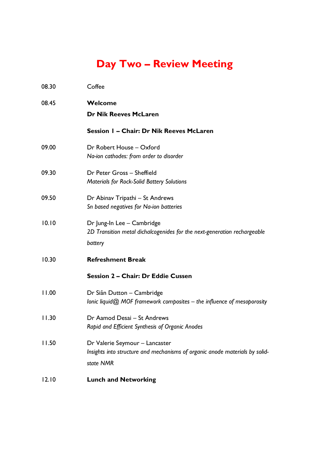## Day Two – Review Meeting

| 08.30 | Coffee                                                                                                                     |
|-------|----------------------------------------------------------------------------------------------------------------------------|
| 08.45 | Welcome<br><b>Dr Nik Reeves McLaren</b>                                                                                    |
|       | Session 1 - Chair: Dr Nik Reeves McLaren                                                                                   |
| 09.00 | Dr Robert House - Oxford<br>Na-ion cathodes: from order to disorder                                                        |
| 09.30 | Dr Peter Gross - Sheffield<br><b>Materials for Rock-Solid Battery Solutions</b>                                            |
| 09.50 | Dr Abinav Tripathi - St Andrews<br>Sn based negatives for Na-ion batteries                                                 |
| 10.10 | Dr Jung-In Lee - Cambridge<br>2D Transition metal dichalcogenides for the next-generation rechargeable<br>battery          |
| 10.30 | <b>Refreshment Break</b>                                                                                                   |
|       | Session 2 - Chair: Dr Eddie Cussen                                                                                         |
| 11.00 | Dr Siân Dutton - Cambridge<br>lonic liquid@ MOF framework composites - the influence of mesoporosity                       |
| 11.30 | Dr Aamod Desai - St Andrews<br>Rapid and Efficient Synthesis of Organic Anodes                                             |
| 11.50 | Dr Valerie Seymour - Lancaster<br>Insights into structure and mechanisms of organic anode materials by solid-<br>state NMR |
| 12.10 | <b>Lunch and Networking</b>                                                                                                |